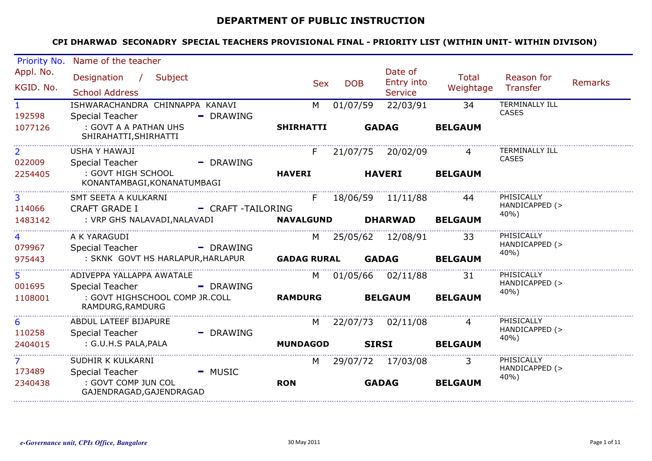### **DEPARTMENT OF PUBLIC INSTRUCTION**

| Priority No.           | Name of the teacher                                |                   |                    |            |                       |                |                        |                |
|------------------------|----------------------------------------------------|-------------------|--------------------|------------|-----------------------|----------------|------------------------|----------------|
| Appl. No.<br>KGID. No. | Designation / Subject                              |                   | <b>Sex</b>         | <b>DOB</b> | Date of<br>Entry into | Total          | Reason for             | <b>Remarks</b> |
|                        | <b>School Address</b>                              |                   |                    |            | <b>Service</b>        | Weightage      | Transfer               |                |
| $\mathbf{1}$           | ISHWARACHANDRA CHINNAPPA KANAVI                    |                   | M                  | 01/07/59   | 22/03/91              | 34             | <b>TERMINALLY ILL</b>  |                |
| 192598                 | Special Teacher                                    | - DRAWING         |                    |            |                       |                | <b>CASES</b>           |                |
| 1077126                | : GOVT A A PATHAN UHS<br>SHIRAHATTI, SHIRHATTI     |                   | <b>SHIRHATTI</b>   |            | <b>GADAG</b>          | <b>BELGAUM</b> |                        |                |
| $\overline{2}$         | USHA Y HAWAJI                                      |                   | F.                 |            | 21/07/75 20/02/09     |                | <b>TERMINALLY ILL</b>  |                |
| 022009                 | Special Teacher                                    | - DRAWING         |                    |            |                       |                | <b>CASES</b>           |                |
| 2254405                | : GOVT HIGH SCHOOL<br>KONANTAMBAGI, KONANATUMBAGI  |                   | <b>HAVERI</b>      |            | <b>HAVERI</b>         | <b>BELGAUM</b> |                        |                |
| $\overline{3}$         | SMT SEETA A KULKARNI                               |                   |                    |            | F 18/06/59 11/11/88   | 44             | PHISICALLY             |                |
| 114066                 | <b>CRAFT GRADE I</b>                               | - CRAFT-TAILORING |                    |            |                       |                | HANDICAPPED (><br>40%) |                |
| 1483142                | : VRP GHS NALAVADI,NALAVADI                        |                   | <b>NAVALGUND</b>   |            | <b>DHARWAD</b>        | <b>BELGAUM</b> |                        |                |
| 4                      | A K YARAGUDI                                       |                   |                    |            | M 25/05/62 12/08/91   | 33             | PHISICALLY             |                |
| 079967                 | <b>Special Teacher</b>                             | - DRAWING         |                    |            |                       |                | HANDICAPPED (><br>40%) |                |
| 975443                 | : SKNK GOVT HS HARLAPUR,HARLAPUR                   |                   | <b>GADAG RURAL</b> |            | <b>GADAG</b>          | <b>BELGAUM</b> |                        |                |
| 5 <sup>1</sup>         | ADIVEPPA YALLAPPA AWATALE                          |                   |                    |            | M 01/05/66 02/11/88   | 31             | PHISICALLY             |                |
| 001695                 | <b>Special Teacher</b>                             | - DRAWING         |                    |            |                       |                | HANDICAPPED (><br>40%) |                |
| 1108001                | : GOVT HIGHSCHOOL COMP JR.COLL<br>RAMDURG, RAMDURG |                   | <b>RAMDURG</b>     |            | <b>BELGAUM</b>        | <b>BELGAUM</b> |                        |                |
| 6                      | ABDUL LATEEF BIJAPURE                              |                   |                    |            | M 22/07/73 02/11/08   | $\overline{4}$ | PHISICALLY             |                |
| 110258                 | Special Teacher                                    | $-$ DRAWING       |                    |            |                       |                | HANDICAPPED (><br>40%) |                |
| 2404015                | : G.U.H.S PALA, PALA                               |                   | <b>MUNDAGOD</b>    |            | <b>SIRSI</b>          | <b>BELGAUM</b> |                        |                |
| $\overline{7}$         | SUDHIR K KULKARNI                                  |                   | M                  |            | 29/07/72 17/03/08     | 3              | PHISICALLY             |                |
| 173489                 | Special Teacher                                    | $-MUSIC$          |                    |            |                       |                | HANDICAPPED (>         |                |
| 2340438                | : GOVT COMP JUN COL<br>GAJENDRAGAD, GAJENDRAGAD    |                   | <b>RON</b>         |            | <b>GADAG</b>          | <b>BELGAUM</b> | 40%)                   |                |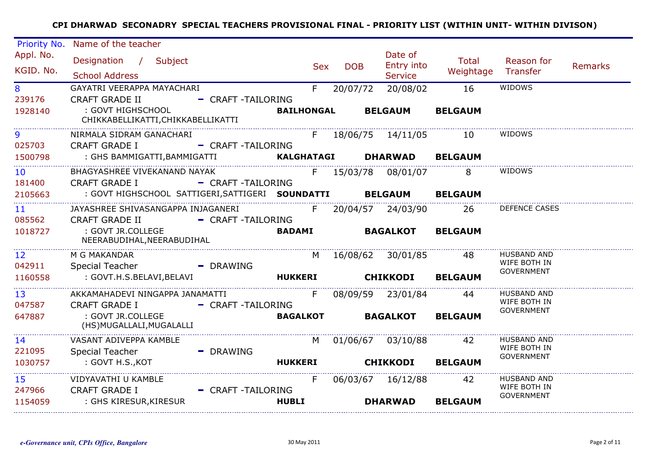| Priority No.                   | Name of the teacher                                                                                          |                          |              |     |            |                                         |                                    |                                                         |         |
|--------------------------------|--------------------------------------------------------------------------------------------------------------|--------------------------|--------------|-----|------------|-----------------------------------------|------------------------------------|---------------------------------------------------------|---------|
| Appl. No.<br>KGID. No.         | Designation / Subject<br><b>School Address</b>                                                               |                          |              | Sex | <b>DOB</b> | Date of<br>Entry into<br><b>Service</b> | <b>Total</b><br>Weightage Transfer | Reason for                                              | Remarks |
|                                | GAYATRI VEERAPPA MAYACHARI                                                                                   |                          |              |     |            | F 20/07/72 20/08/02                     | 16                                 | WIDOWS                                                  |         |
| 239176<br>1928140              | CRAFT GRADE II<br>: GOVT HIGHSCHOOL <b>SECULAR SECURITY</b><br>CHIKKABELLIKATTI, CHIKKABELLIKATTI            | - CRAFT -TAILORING       |              |     |            | <b>BAILHONGAL BELGAUM</b>               | <b>BELGAUM</b>                     |                                                         |         |
| $9 \left( \frac{1}{2} \right)$ |                                                                                                              |                          |              |     |            |                                         |                                    | WIDOWS                                                  |         |
| 025703                         | <b>CRAFT GRADE I</b><br>1500798 : GHS BAMMIGATTI, BAMMIGATTI <b>KALGHATAGI DHARWAD BELGAUM</b>               | - CRAFT-TAILORING        |              |     |            |                                         |                                    |                                                         |         |
| 10<br>181400                   | <b>CRAFT GRADE I</b>                                                                                         | - CRAFT -TAILORING       |              |     |            |                                         |                                    | WIDOWS                                                  |         |
|                                | 2105663 : GOVT HIGHSCHOOL SATTIGERI, SATTIGERI SOUNDATTI BELGAUM BELGAUM                                     |                          |              |     |            |                                         |                                    |                                                         |         |
| 085562                         | JAYASHREE SHIVASANGAPPA INJAGANERI F 20/04/57 24/03/90 26 DEFENCE CASES<br>CRAFT GRADE II - CRAFT -TAILORING |                          |              |     |            |                                         |                                    |                                                         |         |
| 1018727                        | : GOVT JR.COLLEGE<br>NEERABUDIHAL, NEERABUDIHAL                                                              |                          |              |     |            | BADAMI BAGALKOT BELGAUM                 |                                    |                                                         |         |
| $12 \quad \bullet$<br>042911   | M G MAKANDAR<br>Special Teacher - DRAWING                                                                    |                          |              |     |            |                                         | M 16/08/62 30/01/85 48             | <b>HUSBAND AND</b><br>WIFE BOTH IN<br><b>GOVERNMENT</b> |         |
| 1160558                        | : GOVT.H.S.BELAVI,BELAVI <b>And Aukkeri Chikkodi Belgaum</b>                                                 |                          |              |     |            |                                         |                                    |                                                         |         |
| 13<br>047587                   | AKKAMAHADEVI NINGAPPA JANAMATTI 6 68/09/59 23/01/84 44<br><b>CRAFT GRADE I</b>                               | - CRAFT-TAILORING        |              |     |            |                                         |                                    | <b>HUSBAND AND</b><br>WIFE BOTH IN                      |         |
| 647887                         | : GOVT JR.COLLEGE<br>(HS)MUGALLALI, MUGALALLI                                                                |                          |              |     |            | BAGALKOT BAGALKOT BELGAUM               |                                    | <b>GOVERNMENT</b>                                       |         |
| 14<br>221095                   | VASANT ADIVEPPA KAMBLE<br>Special Teacher - DRAWING                                                          |                          |              |     |            | M 01/06/67 03/10/88 42                  |                                    | HUSBAND AND<br>WIFE BOTH IN                             |         |
| 1030757                        | : GOVT H.S., KOT                                                                                             | HUKKERI CHIKKODI BELGAUM |              |     |            |                                         |                                    | GOVERNMENT                                              |         |
| 15                             | VIDYAVATHI U KAMBLE<br>247966 CRAFT GRADE I                                                                  | - CRAFT-TAILORING        | F            |     |            | 06/03/67 16/12/88 42                    |                                    | HUSBAND AND<br>WIFE BOTH IN                             |         |
| 1154059                        | : GHS KIRESUR,KIRESUR                                                                                        |                          | <b>HUBLI</b> |     |            | <b>DHARWAD</b>                          | <b>BELGAUM</b>                     | <b>GOVERNMENT</b>                                       |         |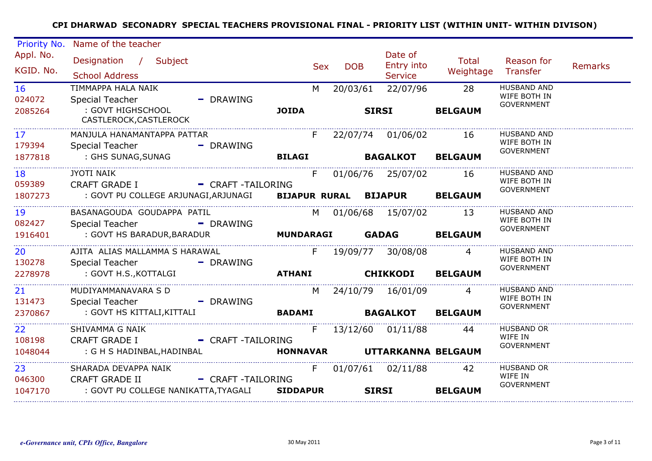| Priority No.              | Name of the teacher                                                        |                        |               |            |            |                                         |                           |                                                         |         |
|---------------------------|----------------------------------------------------------------------------|------------------------|---------------|------------|------------|-----------------------------------------|---------------------------|---------------------------------------------------------|---------|
| Appl. No.<br>KGID. No.    | Designation / Subject<br><b>School Address</b>                             |                        |               | <b>Sex</b> | <b>DOB</b> | Date of<br>Entry into<br><b>Service</b> | <b>Total</b><br>Weightage | Reason for<br>Transfer                                  | Remarks |
| 16<br>024072              | TIMMAPPA HALA NAIK<br>Special Teacher                                      | $\blacksquare$ DRAWING |               | M          | 20/03/61   | 22/07/96                                | 28                        | <b>HUSBAND AND</b><br>WIFE BOTH IN<br><b>GOVERNMENT</b> |         |
| 2085264                   | : GOVT HIGHSCHOOL<br>CASTLEROCK, CASTLEROCK                                |                        | <b>JOIDA</b>  |            |            | <b>SIRSI</b>                            | <b>BELGAUM</b>            |                                                         |         |
| 17<br>179394              | MANJULA HANAMANTAPPA PATTAR<br>Special Teacher                             | - DRAWING              |               |            |            | F 22/07/74 01/06/02 16                  |                           | <b>HUSBAND AND</b><br>WIFE BOTH IN                      |         |
| 1877818                   | : GHS SUNAG, SUNAG                                                         |                        | <b>BILAGI</b> |            |            | <b>BAGALKOT</b>                         | <b>BELGAUM</b>            | <b>GOVERNMENT</b>                                       |         |
| 18<br>059389              | <b>JYOTI NAIK</b><br>CRAFT GRADE I - CRAFT -TAILORING                      |                        |               |            |            | F 01/06/76 25/07/02 16                  |                           | <b>HUSBAND AND</b><br>WIFE BOTH IN<br>GOVERNMENT        |         |
| 1807273                   | : GOVT PU COLLEGE ARJUNAGI, ARJUNAGI BIJAPUR RURAL BIJAPUR BELGAUM         |                        |               |            |            |                                         |                           |                                                         |         |
| 19<br>082427              | BASANAGOUDA GOUDAPPA PATIL<br>Special Teacher - DRAWING                    |                        |               |            |            | M 01/06/68 15/07/02 13                  |                           | <b>HUSBAND AND</b><br>WIFE BOTH IN<br>GOVERNMENT        |         |
| 1916401                   | : GOVT HS BARADUR, BARADUR <b>MUNDARAGI</b>                                |                        |               |            |            | <b>GADAG</b>                            | <b>BELGAUM</b>            |                                                         |         |
| 20<br>130278              | AJITA ALIAS MALLAMMA S HARAWAL<br>Special Teacher - DRAWING                |                        |               |            |            | F 19/09/77 30/08/08 4                   |                           | <b>HUSBAND AND</b><br>WIFE BOTH IN                      |         |
| 2278978                   | : GOVT H.S.,KOTTALGI                                                       | <b>ATHANI CHIKKODI</b> |               |            |            |                                         | <b>BELGAUM</b>            | <b>GOVERNMENT</b>                                       |         |
| 21<br>131473              | MUDIYAMMANAVARA S D<br>Special Teacher - - - - - - - DRAWING               |                        |               |            |            | M 24/10/79 16/01/09 4                   |                           | HUSBAND AND<br>WIFE BOTH IN<br><b>GOVERNMENT</b>        |         |
| 2370867                   | : GOVT HS KITTALI,KITTALI <b>ALLA BADAMI BAGALKOT BELGAUM</b>              |                        |               |            |            |                                         |                           |                                                         |         |
| 22 <sub>2</sub><br>108198 | SHIVAMMA G NAIK THE SHIVAMMA G NAIK<br>CRAFT GRADE I - CRAFT -TAILORING    |                        |               | F          |            | 13/12/60 01/11/88 44                    |                           | <b>HUSBAND OR</b><br>WIFE IN                            |         |
| 1048044                   | : G H S HADINBAL, HADINBAL <b>The MONAGE HONNAVAR CONTRANT BELGAUM</b>     |                        |               |            |            |                                         |                           | <b>GOVERNMENT</b>                                       |         |
| 23<br>046300              | SHARADA DEVAPPA NAIK NATURAL SHARADA DEVAPPA NAIK<br><b>CRAFT GRADE II</b> | - CRAFT-TAILORING      |               | F          |            | 01/07/61 02/11/88 42                    |                           | HUSBAND OR<br>WIFE IN<br><b>GOVERNMENT</b>              |         |
| 1047170                   | : GOVT PU COLLEGE NANIKATTA,TYAGALI           SIDDAPUR                     |                        |               |            |            | <b>SIRSI</b>                            | <b>BELGAUM</b>            |                                                         |         |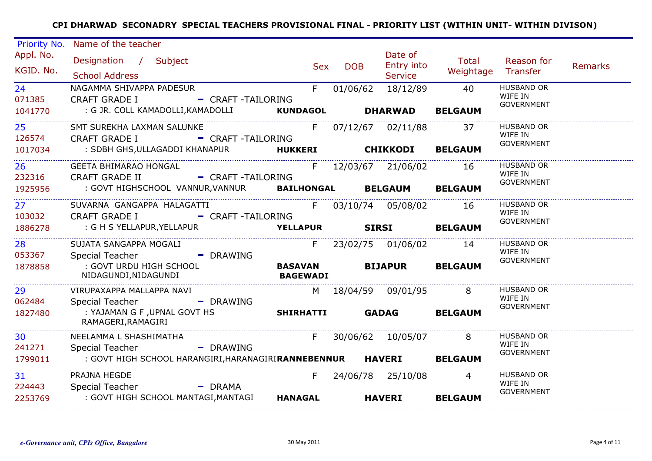| Priority No.              | Name of the teacher                                                                                       |                                   |            |                                         |                             |                                                   |                |
|---------------------------|-----------------------------------------------------------------------------------------------------------|-----------------------------------|------------|-----------------------------------------|-----------------------------|---------------------------------------------------|----------------|
| Appl. No.<br>KGID. No.    | Designation / Subject<br><b>School Address</b>                                                            | Sex                               | <b>DOB</b> | Date of<br>Entry into<br><b>Service</b> | Total<br>Weightage Transfer | Reason for                                        | <b>Remarks</b> |
| 24<br>071385              | NAGAMMA SHIVAPPA PADESUR<br><b>CRAFT GRADE I</b><br>- CRAFT -TAILORING                                    | F                                 | 01/06/62   | 18/12/89                                | 40                          | <b>HUSBAND OR</b><br>WIFE IN<br><b>GOVERNMENT</b> |                |
| 1041770                   | : G JR. COLL KAMADOLLI, KAMADOLLI                                                                         | <b>KUNDAGOL</b>                   |            | <b>DHARWAD</b>                          | <b>BELGAUM</b>              |                                                   |                |
| 25 <sub>1</sub><br>126574 | SMT SUREKHA LAXMAN SALUNKE<br><b>CRAFT GRADE I</b><br>- CRAFT -TAILORING                                  |                                   |            | F 07/12/67 02/11/88 37                  |                             | HUSBAND OR<br>WIFE IN                             |                |
| 1017034                   |                                                                                                           |                                   |            | <b>CHIKKODI</b>                         | <b>BELGAUM</b>              | GOVERNMENT                                        |                |
| 26<br>232316              | GEETA BHIMARAO HONGAL<br>- CRAFT -TAILORING<br>CRAFT GRADE II                                             |                                   |            | F 12/03/67 21/06/02 16                  |                             | <b>HUSBAND OR</b><br>WIFE IN                      |                |
| 1925956                   | : GOVT HIGHSCHOOL VANNUR,VANNUR                  BAILHONGAL               BELGAUM            BELGAUM      |                                   |            |                                         |                             | <b>GOVERNMENT</b>                                 |                |
| 27 <sup>2</sup><br>103032 | SUVARNA GANGAPPA HALAGATTI<br>CRAFT GRADE I - CRAFT -TAILORING                                            |                                   |            | F 03/10/74 05/08/02 16                  |                             | <b>HUSBAND OR</b><br>WIFE IN                      |                |
| 1886278                   | : G H S YELLAPUR,YELLAPUR                                                                                 | YELLAPUR SIRSI BELGAUM            |            |                                         |                             | <b>GOVERNMENT</b>                                 |                |
| 28<br>053367              | SUJATA SANGAPPA MOGALI<br>Special Teacher - DRAWING                                                       |                                   |            | F 23/02/75 01/06/02 14                  |                             | HUSBAND OR<br>WIFE IN<br><b>GOVERNMENT</b>        |                |
| 1878858<br>.              | : GOVT URDU HIGH SCHOOL<br>NIDAGUNDI, NIDAGUNDI                                                           | <b>BASAVAN</b><br><b>BAGEWADI</b> |            | <b>BIJAPUR BELGAUM</b>                  |                             |                                                   |                |
| 29<br>062484              | VIRUPAXAPPA MALLAPPA NAVI<br>Special Teacher<br>- DRAWING                                                 |                                   |            |                                         | M 18/04/59 09/01/95 8       | HUSBAND OR<br>WIFE IN<br>GOVERNMENT               |                |
| 1827480                   | : YAJAMAN G F, UPNAL GOVT HS <b>SHIRHATTI GADAG BELGAUM</b><br>RAMAGERI, RAMAGIRI                         |                                   |            |                                         |                             |                                                   |                |
| 30<br>241271              | NEELAMMA L SHASHIMATHA                                                                                    | $F -$                             |            | 30/06/62 10/05/07 8                     |                             | HUSBAND OR<br>WIFE IN                             |                |
| 1799011                   | <b>Special Teacher</b><br>- DRAWING<br>: GOVT HIGH SCHOOL HARANGIRI, HARANAGIRIRANNEBENNUR HAVERI BELGAUM |                                   |            |                                         |                             | <b>GOVERNMENT</b>                                 |                |
| 31                        | PRAJNA HEGDE                                                                                              | F.                                |            | 24/06/78 25/10/08                       | $\overline{4}$              | <b>HUSBAND OR</b><br>WIFE IN                      |                |
| 224443<br>2253769         | Special Teacher<br>$\blacksquare$ DRAMA<br>: GOVT HIGH SCHOOL MANTAGI, MANTAGI HANAGAL                    |                                   |            | <b>HAVERI</b>                           | <b>BELGAUM</b>              | GOVERNMENT                                        |                |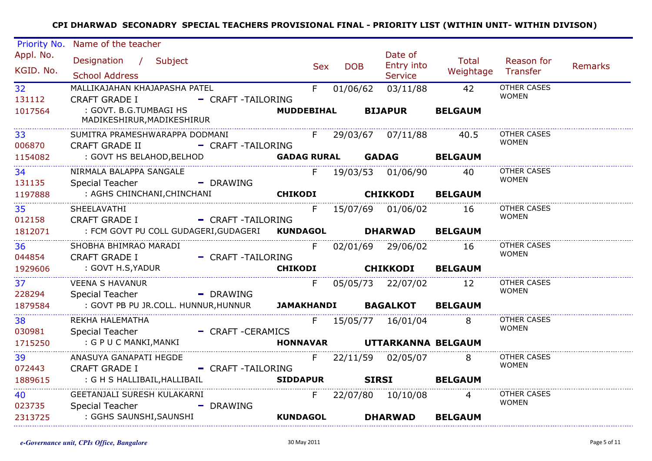| Priority No.           | Name of the teacher                                                      |                                      |     |            |                              |                             |                             |         |
|------------------------|--------------------------------------------------------------------------|--------------------------------------|-----|------------|------------------------------|-----------------------------|-----------------------------|---------|
| Appl. No.<br>KGID. No. | Designation / Subject                                                    |                                      | Sex | <b>DOB</b> | Date of<br><b>Entry into</b> | Total<br>Weightage Transfer | Reason for                  | Remarks |
|                        | <b>School Address</b>                                                    |                                      |     |            | Service                      |                             |                             |         |
| 32 <sup>2</sup>        | MALLIKAJAHAN KHAJAPASHA PATEL                                            |                                      |     |            | F 01/06/62 03/11/88 42       |                             | <b>OTHER CASES</b>          |         |
| 131112                 | <b>CRAFT GRADE I</b>                                                     | - CRAFT -TAILORING                   |     |            |                              |                             | <b>WOMEN</b>                |         |
| 1017564                | : GOVT. B.G.TUMBAGI HS<br>MADIKESHIRUR, MADIKESHIRUR                     |                                      |     |            | MUDDEBIHAL BIJAPUR           | <b>BELGAUM</b>              |                             |         |
| 33                     | SUMITRA PRAMESHWARAPPA DODMANI                                           |                                      |     |            | F 29/03/67 07/11/88 40.5     |                             | OTHER CASES                 |         |
| 006870                 | CRAFT GRADE II - CRAFT -TAILORING                                        |                                      |     |            |                              |                             | <b>WOMEN</b>                |         |
| 1154082                | : GOVT HS BELAHOD,BELHOD                                                 | HOD <b>GADAG RURAL GADAG BELGAUM</b> |     |            |                              |                             |                             |         |
| 34                     | NIRMALA BALAPPA SANGALE THE SERIES OF THE 19/03/53 01/06/90 40           |                                      |     |            |                              |                             | OTHER CASES                 |         |
| 131135                 | <b>Special Teacher</b>                                                   | - DRAWING                            |     |            |                              |                             | <b>WOMEN</b>                |         |
| 1197888                | : AGHS CHINCHANI,CHINCHANI                                               | CHIKODI CHIKKODI BELGAUM             |     |            |                              |                             |                             |         |
| $35 - 1$               | SHEELAVATHI                                                              |                                      |     |            | F 15/07/69 01/06/02 16       |                             | OTHER CASES                 |         |
| 012158                 | CRAFT GRADE I - CRAFT -TAILORING                                         |                                      |     |            |                              |                             | <b>WOMEN</b>                |         |
|                        | 1812071 : FCM GOVT PU COLL GUDAGERI, GUDAGERI KUNDAGOL DHARWAD BELGAUM   |                                      |     |            |                              |                             |                             |         |
| $36 - 36$              | SHOBHA BHIMRAO MARADI                                                    |                                      |     |            | F 02/01/69 29/06/02 16       |                             | OTHER CASES                 |         |
| 044854                 | <b>CRAFT GRADE I</b>                                                     | - CRAFT -TAILORING                   |     |            |                              |                             | <b>WOMEN</b>                |         |
| 1929606                | EXAMPLE SOVT H.S, YADUR CHIKODI CHIKODI CHIKKODI BELGAUM                 |                                      |     |            |                              |                             |                             |         |
| 37<br>228294           | <b>VEENA S HAVANUR</b><br>- DRAWING<br>Special Teacher                   |                                      |     |            | F 05/05/73 22/07/02 12       |                             | OTHER CASES<br><b>WOMEN</b> |         |
|                        | 1879584 : GOVT PB PU JR.COLL. HUNNUR, HUNNUR JAMAKHANDI BAGALKOT BELGAUM |                                      |     |            |                              |                             |                             |         |
| 38                     | REKHA HALEMATHA                                                          |                                      |     |            | F 15/05/77 16/01/04 8        |                             | <b>OTHER CASES</b>          |         |
| 030981                 | Special Teacher - CRAFT - CERAMICS                                       |                                      |     |            |                              |                             | <b>WOMEN</b>                |         |
| 1715250                | : G P U C MANKI, MANKI                                                   |                                      |     |            |                              |                             |                             |         |
| 39                     | ANASUYA GANAPATI HEGDE                                                   |                                      |     |            | F 22/11/59 02/05/07 8        |                             | OTHER CASES                 |         |
| 072443                 | <b>CRAFT GRADE I</b>                                                     | - CRAFT-TAILORING                    |     |            |                              |                             | <b>WOMEN</b>                |         |
| 1889615                | : G H S HALLIBAIL,HALLIBAIL                                              |                                      |     |            | SIDDAPUR SIRSI BELGAUM       |                             |                             |         |
|                        |                                                                          |                                      |     |            |                              |                             | OTHER CASES                 |         |
| 40<br>023735           | GEETANJALI SURESH KULAKARNI                                              |                                      |     |            | F 22/07/80 10/10/08 4        |                             | <b>WOMEN</b>                |         |
| 2313725                | <b>Special Teacher</b>                                                   | - DRAWING                            |     |            |                              | <b>BELGAUM</b>              |                             |         |
|                        |                                                                          |                                      |     |            |                              |                             |                             |         |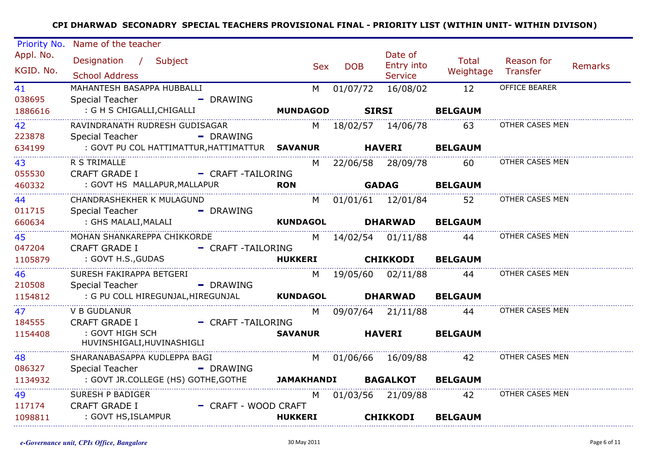| Priority No.           | Name of the teacher                                                    |                 |                |            |                         |                                    |                        |                |
|------------------------|------------------------------------------------------------------------|-----------------|----------------|------------|-------------------------|------------------------------------|------------------------|----------------|
| Appl. No.<br>KGID. No. | Designation / Subject<br><b>School Address</b>                         |                 | <b>Sex</b>     | <b>DOB</b> | Date of<br>Entry into   | <b>Total</b><br>Weightage Transfer | Reason for             | <b>Remarks</b> |
|                        |                                                                        |                 |                |            | <b>Service</b>          |                                    |                        |                |
| 41<br>038695           | MAHANTESH BASAPPA HUBBALLI                                             |                 | M <sub>1</sub> |            | 01/07/72 16/08/02 12    |                                    | OFFICE BEARER          |                |
| 1886616                | <b>Special Teacher</b><br>- DRAWING<br>: G H S CHIGALLI,CHIGALLI       | <b>MUNDAGOD</b> |                |            | SIRSI BELGAUM           |                                    |                        |                |
| 42                     | RAVINDRANATH RUDRESH GUDISAGAR                                         |                 |                |            |                         | M 18/02/57 14/06/78 63             | <b>OTHER CASES MEN</b> |                |
| 223878                 | - DRAWING<br>Special Teacher                                           |                 |                |            |                         |                                    |                        |                |
| 634199                 | : GOVT PU COL HATTIMATTUR, HATTIMATTUR SAVANUR <b>HAVERI BELGAUM</b>   |                 |                |            |                         |                                    |                        |                |
| 43                     | R S TRIMALLE                                                           |                 |                |            |                         | M 22/06/58 28/09/78 60             | OTHER CASES MEN        |                |
| 055530                 | CRAFT GRADE I - CRAFT -TAILORING                                       |                 |                |            |                         |                                    |                        |                |
| 460332                 |                                                                        |                 |                |            |                         |                                    |                        |                |
| 44 – 1                 | CHANDRASHEKHER K MULAGUND                                              |                 |                |            | M 01/01/61 12/01/84 52  |                                    | OTHER CASES MEN        |                |
| 011715                 | <b>Special Teacher</b><br>- DRAWING                                    |                 |                |            |                         |                                    |                        |                |
| 660634                 |                                                                        |                 |                |            |                         |                                    |                        |                |
| 45                     | MOHAN SHANKAREPPA CHIKKORDE                                            |                 |                |            |                         | M 14/02/54 01/11/88 44             | OTHER CASES MEN        |                |
| 047204                 | CRAFT GRADE I - CRAFT -TAILORING                                       |                 |                |            |                         |                                    |                        |                |
| 1105879                | : GOVT H.S.,GUDAS                                                      |                 |                |            | <b>CHIKKODI BELGAUM</b> |                                    |                        |                |
| 46                     | SURESH FAKIRAPPA BETGERI                                               |                 |                |            |                         | M 19/05/60 02/11/88 44             | OTHER CASES MEN        |                |
| 210508                 | - DRAWING<br><b>Special Teacher</b>                                    |                 |                |            |                         |                                    |                        |                |
| 1154812                | : G PU COLL HIREGUNJAL, HIREGUNJAL KUNDAGOL DHARWAD BELGAUM            |                 |                |            |                         |                                    |                        |                |
| 47                     | <b>V B GUDLANUR</b>                                                    | M               |                |            |                         | 09/07/64 21/11/88 44               | OTHER CASES MEN        |                |
| 184555                 | CRAFT GRADE I - CRAFT -TAILORING                                       |                 |                |            |                         |                                    |                        |                |
| 1154408                | : GOVT HIGH SCH<br>HUVINSHIGALI,HUVINASHIGLI                           | <b>SAVANUR</b>  |                |            | <b>HAVERI</b>           | <b>BELGAUM</b>                     |                        |                |
| 48                     | SHARANABASAPPA KUDLEPPA BAGI                                           |                 |                |            |                         | M 01/06/66 16/09/88 42             | OTHER CASES MEN        |                |
| 086327                 | - DRAWING<br><b>Special Teacher</b>                                    |                 |                |            |                         |                                    |                        |                |
| 1134932                | : GOVT JR.COLLEGE (HS) GOTHE, GOTHE <b>JAMAKHANDI BAGALKOT BELGAUM</b> |                 |                |            |                         |                                    |                        |                |
| 49                     | SURESH P BADIGER                                                       |                 |                |            |                         | M 01/03/56 21/09/88 42             | OTHER CASES MEN        |                |
| 117174                 | - CRAFT - WOOD CRAFT<br><b>CRAFT GRADE I</b>                           |                 |                |            |                         |                                    |                        |                |
| 1098811                | : GOVT HS,ISLAMPUR                                                     | <b>HUKKERI</b>  |                |            | <b>CHIKKODI</b>         | <b>BELGAUM</b>                     |                        |                |
|                        |                                                                        |                 |                |            |                         |                                    |                        |                |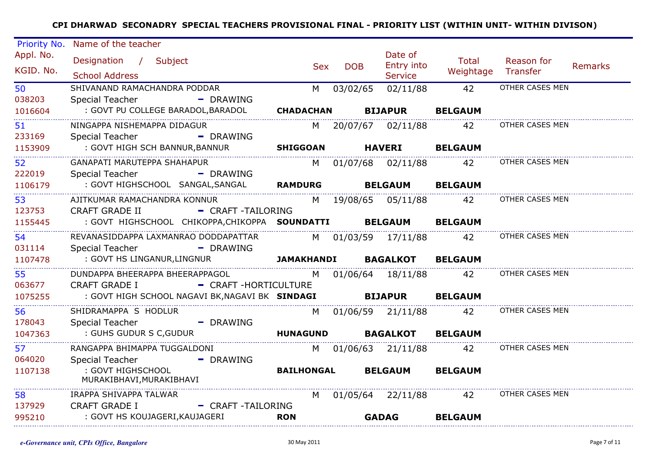| Priority No.           | Name of the teacher                                             |            |                   |                                         |                        |                                  |         |
|------------------------|-----------------------------------------------------------------|------------|-------------------|-----------------------------------------|------------------------|----------------------------------|---------|
| Appl. No.<br>KGID. No. | Designation / Subject<br><b>School Address</b>                  |            | <b>DOB</b><br>Sex | Date of<br>Entry into<br><b>Service</b> | <b>Total</b>           | Reason for<br>Weightage Transfer | Remarks |
| 50                     | SHIVANAND RAMACHANDRA PODDAR                                    |            |                   |                                         | 42                     | OTHER CASES MEN                  |         |
| 038203                 | - DRAWING<br><b>Special Teacher</b>                             |            | M 03/02/65        | 02/11/88                                |                        |                                  |         |
| 1016604                | : GOVT PU COLLEGE BARADOL, BARADOL                              |            |                   | <b>CHADACHAN BIJAPUR</b>                | <b>BELGAUM</b>         |                                  |         |
|                        | NINGAPPA NISHEMAPPA DIDAGUR                                     |            |                   |                                         |                        | OTHER CASES MEN                  |         |
| 51<br>233169           | - DRAWING<br>Special Teacher                                    |            |                   | M 20/07/67 02/11/88 42                  |                        |                                  |         |
| 1153909                | : GOVT HIGH SCH BANNUR,BANNUR                                   |            |                   |                                         |                        |                                  |         |
|                        | H SCH BANNUR,BANNUR <b>SHIGGOAN HAVERI BELGAUM</b>              |            |                   |                                         |                        |                                  |         |
| 52                     | GANAPATI MARUTEPPA SHAHAPUR                                     |            |                   |                                         | M 01/07/68 02/11/88 42 | OTHER CASES MEN                  |         |
| 222019                 | Special Teacher - DRAWING                                       |            |                   |                                         |                        |                                  |         |
| 1106179                | : GOVT HIGHSCHOOL SANGAL,SANGAL RAMDURG BELGAUM BELGAUM         |            |                   |                                         |                        |                                  |         |
| 53                     | AJITKUMAR RAMACHANDRA KONNUR                                    |            |                   | M 19/08/65 05/11/88                     | 42                     | OTHER CASES MEN                  |         |
| 123753                 | <b>CRAFT GRADE II</b><br>- CRAFT -TAILORING                     |            |                   |                                         |                        |                                  |         |
| 1155445                | : GOVT HIGHSCHOOL CHIKOPPA, CHIKOPPA SOUNDATTI BELGAUM BELGAUM  |            |                   |                                         |                        |                                  |         |
| 54                     | REVANASIDDAPPA LAXMANRAO DODDAPATTAR M 01/03/59 17/11/88 42     |            |                   |                                         |                        | OTHER CASES MEN                  |         |
| 031114                 | Special Teacher - - - - - - - DRAWING                           |            |                   |                                         |                        |                                  |         |
| 1107478                | : GOVT HS LINGANUR,LINGNUR <b>STANDAR JAMAKHANDI BAGALKOT</b>   |            |                   |                                         | <b>BELGAUM</b>         |                                  |         |
| 55                     | DUNDAPPA BHEERAPPA BHEERAPPAGOL M 01/06/64 18/11/88 42          |            |                   |                                         |                        | OTHER CASES MEN                  |         |
| 063677                 | - CRAFT -HORTICULTURE<br><b>CRAFT GRADE I</b>                   |            |                   |                                         |                        |                                  |         |
| 1075255                | : GOVT HIGH SCHOOL NAGAVI BK, NAGAVI BK SINDAGI BIJAPUR BELGAUM |            |                   |                                         |                        |                                  |         |
| 56                     | SHIDRAMAPPA S HODLUR                                            |            |                   |                                         | M 01/06/59 21/11/88 42 | OTHER CASES MEN                  |         |
| 178043                 | <b>Special Teacher</b><br>- DRAWING                             |            |                   |                                         |                        |                                  |         |
| 1047363                | : GUHS GUDUR S C,GUDUR                                          |            |                   | HUNAGUND BAGALKOT BELGAUM               |                        |                                  |         |
| 57                     | RANGAPPA BHIMAPPA TUGGALDONI                                    |            |                   |                                         | M 01/06/63 21/11/88 42 | OTHER CASES MEN                  |         |
| 064020                 | Special Teacher - The DRAWING                                   |            |                   |                                         |                        |                                  |         |
| 1107138                | : GOVT HIGHSCHOOL<br>MURAKIBHAVI,MURAKIBHAVI                    |            |                   | <b>BAILHONGAL BELGAUM</b>               | <b>BELGAUM</b>         |                                  |         |
| 58                     | IRAPPA SHIVAPPA TALWAR                                          |            |                   |                                         | M 01/05/64 22/11/88 42 | OTHER CASES MEN                  |         |
| 137929                 | <b>CRAFT GRADE I</b><br>- CRAFT -TAILORING                      |            |                   |                                         |                        |                                  |         |
| 995210                 | : GOVT HS KOUJAGERI,KAUJAGERI                                   | <b>RON</b> |                   | <b>GADAG BELGAUM</b>                    |                        |                                  |         |
|                        |                                                                 |            |                   |                                         |                        |                                  |         |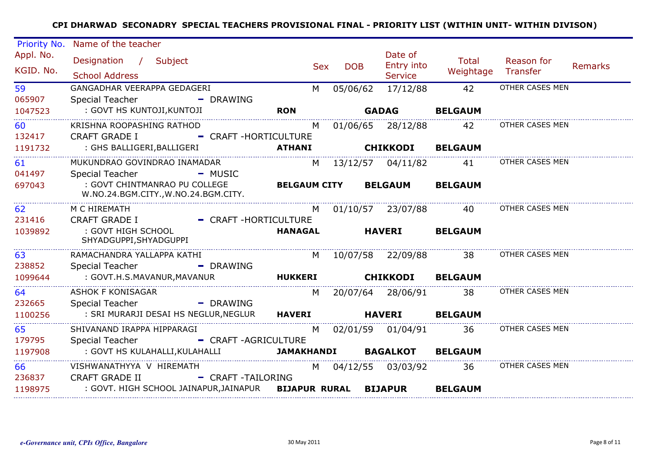|                        | Priority No. Name of the teacher                                          |                     |                                  |                       |                        |                                        |                |
|------------------------|---------------------------------------------------------------------------|---------------------|----------------------------------|-----------------------|------------------------|----------------------------------------|----------------|
| Appl. No.<br>KGID. No. | Designation / Subject                                                     | <b>Sex</b>          | <b>DOB</b>                       | Date of<br>Entry into | <b>Total</b>           | Reason for                             | <b>Remarks</b> |
|                        | <b>School Address</b>                                                     |                     |                                  | <b>Service</b>        | Weightage              | Transfer                               |                |
| 59                     | GANGADHAR VEERAPPA GEDAGERI                                               | M                   | 05/06/62                         | 17/12/88              | 42                     | OTHER CASES MEN                        |                |
| 065907                 | Special Teacher - DRAWING                                                 |                     |                                  |                       |                        |                                        |                |
| 1047523                | : GOVT HS KUNTOJI, KUNTOJI                                                | <b>RON</b>          | <b>Example 19 Service SCADAG</b> |                       | <b>BELGAUM</b>         |                                        |                |
| 60                     | KRISHNA ROOPASHING RATHOD                                                 |                     |                                  | M 01/06/65 28/12/88   | 42                     | OTHER CASES MEN                        |                |
| 132417                 | <b>CRAFT GRADE I</b><br>- CRAFT-HORTICULTURE                              |                     |                                  |                       |                        |                                        |                |
| 1191732                |                                                                           |                     |                                  | <b>CHIKKODI</b>       | <b>BELGAUM</b>         |                                        |                |
| 61                     | MUKUNDRAO GOVINDRAO INAMADAR                                              |                     |                                  |                       |                        | M 13/12/57 04/11/82 41 OTHER CASES MEN |                |
| 041497                 | $-MUSIC$<br>Special Teacher North Special Teacher                         |                     |                                  |                       |                        |                                        |                |
| 697043                 | : GOVT CHINTMANRAO PU COLLEGE<br>W.NO.24.BGM.CITY., W.NO.24.BGM.CITY.     | <b>BELGAUM CITY</b> |                                  | <b>BELGAUM</b>        | <b>BELGAUM</b>         |                                        |                |
| 62                     | M C HIREMATH                                                              |                     |                                  | M 01/10/57 23/07/88   |                        | 40 OTHER CASES MEN                     |                |
| 231416                 | CRAFT GRADE I - CRAFT -HORTICULTURE                                       |                     |                                  |                       |                        |                                        |                |
| 1039892                | : GOVT HIGH SCHOOL<br>SHYADGUPPI,SHYADGUPPI                               | <b>HANAGAL</b>      |                                  | <b>HAVERI</b>         | <b>BELGAUM</b>         |                                        |                |
| 63                     | RAMACHANDRA YALLAPPA KATHI                                                | M 10/07/58 22/09/88 |                                  |                       | 38                     | OTHER CASES MEN                        |                |
| 238852                 | <b>Special Teacher</b><br>- DRAWING                                       |                     |                                  |                       |                        |                                        |                |
| 1099644                | : GOVT.H.S.MAVANUR,MAVANUR                                                | <b>HUKKERI</b>      |                                  | CHIKKODI BELGAUM      |                        |                                        |                |
| 64                     | <b>ASHOK F KONISAGAR</b>                                                  | M                   |                                  | 20/07/64 28/06/91     | 38                     | OTHER CASES MEN                        |                |
| 232665                 | - DRAWING<br>Special Teacher                                              |                     |                                  |                       |                        |                                        |                |
| 1100256                | : SRI MURARJI DESAI HS NEGLUR,NEGLUR HAVERI                               |                     |                                  | <b>HAVERI</b>         | <b>BELGAUM</b>         |                                        |                |
| 65                     | SHIVANAND IRAPPA HIPPARAGI                                                | M                   |                                  |                       | 36                     | OTHER CASES MEN                        |                |
| 179795                 | Special Teacher - CRAFT -AGRICULTURE                                      |                     |                                  |                       |                        |                                        |                |
| 1197908                | : GOVT HS KULAHALLI, KULAHALLI                                            |                     |                                  |                       |                        |                                        |                |
| 66                     | VISHWANATHYYA V HIREMATH                                                  |                     |                                  |                       | M 04/12/55 03/03/92 36 | OTHER CASES MEN                        |                |
| 236837                 | <b>CRAFT GRADE II</b><br>- CRAFT -TAILORING                               |                     |                                  |                       |                        |                                        |                |
| 1198975                | : GOVT. HIGH SCHOOL JAINAPUR,JAINAPUR <b>BIJAPUR   RURAL      BIJAPUR</b> |                     |                                  |                       | <b>BELGAUM</b>         |                                        |                |
|                        |                                                                           |                     |                                  |                       |                        |                                        |                |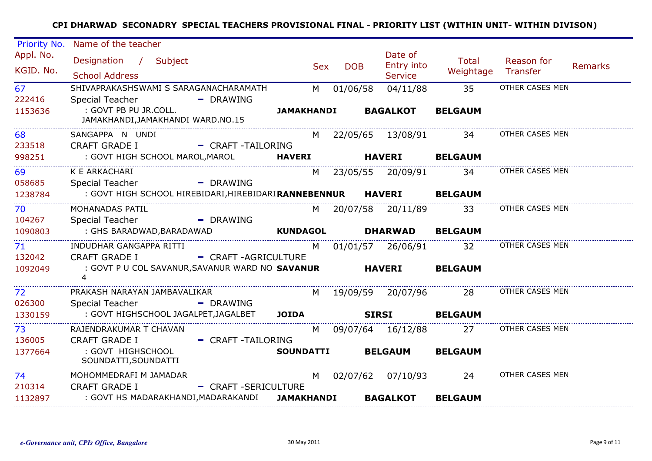| Priority No.           | Name of the teacher                                                               |                   |                   |                                         |                        |                                        |         |
|------------------------|-----------------------------------------------------------------------------------|-------------------|-------------------|-----------------------------------------|------------------------|----------------------------------------|---------|
| Appl. No.<br>KGID. No. | Designation / Subject<br><b>School Address</b>                                    |                   | <b>DOB</b><br>Sex | Date of<br>Entry into<br><b>Service</b> | Total<br>Weightage     | Reason for<br>Transfer                 | Remarks |
| 67                     | SHIVAPRAKASHSWAMI S SARAGANACHARAMATH                                             |                   | M 01/06/58        | 04/11/88                                | 35                     | OTHER CASES MEN                        |         |
| 222416                 | - DRAWING<br>Special Teacher                                                      |                   |                   |                                         |                        |                                        |         |
| 1153636                | : GOVT PB PU JR.COLL.<br>JAMAKHANDI, JAMAKHANDI WARD.NO.15                        | <b>JAMAKHANDI</b> |                   | <b>BAGALKOT</b>                         | <b>BELGAUM</b>         |                                        |         |
| 68                     | SANGAPPA N UNDI                                                                   |                   |                   |                                         |                        | M 22/05/65 13/08/91 34 OTHER CASES MEN |         |
| 233518                 | - CRAFT -TAILORING<br><b>CRAFT GRADE I</b>                                        |                   |                   |                                         |                        |                                        |         |
| 998251                 | : GOVT HIGH SCHOOL MAROL, MAROL <b>HAVERI HAVERI BELGAUM</b>                      |                   |                   |                                         |                        |                                        |         |
| 69 11                  | K E ARKACHARI                                                                     |                   |                   |                                         | M 23/05/55 20/09/91 34 | OTHER CASES MEN                        |         |
| 058685                 | <b>Special Teacher</b><br>- DRAWING                                               |                   |                   |                                         |                        |                                        |         |
| 1238784                | : GOVT HIGH SCHOOL HIREBIDARI, HIREBIDARI RANNEBENNUR HAVERI BELGAUM              |                   |                   |                                         |                        |                                        |         |
| 70                     | MOHANADAS PATIL                                                                   |                   |                   |                                         | M 20/07/58 20/11/89 33 | OTHER CASES MEN                        |         |
| 104267                 | Special Teacher - DRAWING                                                         |                   |                   |                                         |                        |                                        |         |
| 1090803                | 1S BARADWAD,BARADAWAD <b>KUNDAGOL DHARWAD BELGAUM</b><br>: GHS BARADWAD,BARADAWAD |                   |                   |                                         |                        |                                        |         |
| 71                     | INDUDHAR GANGAPPA RITTI                                                           |                   |                   |                                         |                        | M 01/01/57 26/06/91 32 OTHER CASES MEN |         |
| 132042                 | CRAFT GRADE I - CRAFT -AGRICULTURE                                                |                   |                   |                                         |                        |                                        |         |
| 1092049                | : GOVT P U COL SAVANUR, SAVANUR WARD NO SAVANUR HAVERI                            |                   |                   |                                         | <b>BELGAUM</b>         |                                        |         |
| 72                     | PRAKASH NARAYAN JAMBAVALIKAR                                                      |                   |                   |                                         |                        | M 19/09/59 20/07/96 28 OTHER CASES MEN |         |
| 026300                 | - DRAWING<br>Special Teacher                                                      |                   |                   |                                         |                        |                                        |         |
| 1330159                | : GOVT HIGHSCHOOL JAGALPET, JAGALBET JOIDA SIRSI BELGAUM                          |                   |                   |                                         |                        |                                        |         |
| 73                     | RAJENDRAKUMAR T CHAVAN                                                            |                   |                   |                                         |                        | M 09/07/64 16/12/88 27 OTHER CASES MEN |         |
| 136005                 | <b>CRAFT GRADE I</b><br>- CRAFT-TAILORING                                         |                   |                   |                                         |                        |                                        |         |
| 1377664                | : GOVT HIGHSCHOOL<br>SOUNDATTI,SOUNDATTI                                          |                   |                   | SOUNDATTI BELGAUM BELGAUM               |                        |                                        |         |
| 74                     | MOHOMMEDRAFI M JAMADAR                                                            |                   |                   |                                         | M 02/07/62 07/10/93 24 | OTHER CASES MEN                        |         |
| 210314                 | <b>CRAFT GRADE I</b><br>- CRAFT -SERICULTURE                                      |                   |                   |                                         |                        |                                        |         |
|                        | 1132897 : GOVT HS MADARAKHANDI, MADARAKANDI JAMAKHANDI BAGALKOT                   |                   |                   |                                         | <b>BELGAUM</b>         |                                        |         |
|                        |                                                                                   |                   |                   |                                         |                        |                                        |         |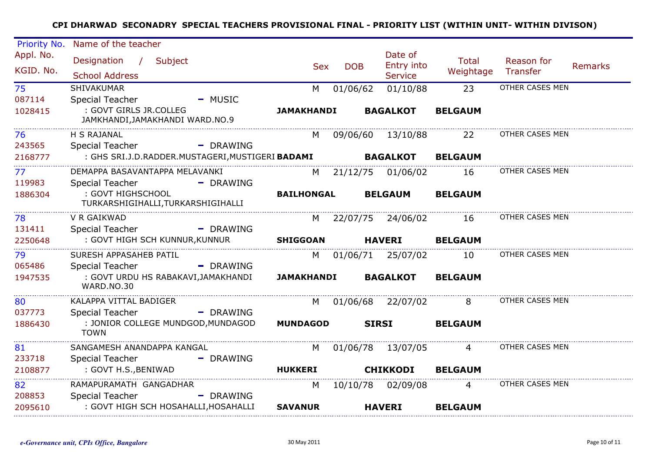| Priority No.               | Name of the teacher                                               |                   |            |                       |                        |                                       |         |
|----------------------------|-------------------------------------------------------------------|-------------------|------------|-----------------------|------------------------|---------------------------------------|---------|
| Appl. No.<br>KGID. No.     | Designation / Subject                                             | <b>Sex</b>        | <b>DOB</b> | Date of<br>Entry into | Total<br>Weightage     | Reason for<br>Transfer                | Remarks |
|                            | <b>School Address</b>                                             |                   |            | <b>Service</b>        |                        |                                       |         |
| 75                         | <b>SHIVAKUMAR</b>                                                 | M                 | 01/06/62   | 01/10/88              | 23                     | OTHER CASES MEN                       |         |
| 087114                     | Special Teacher<br>$-MUSIC$                                       |                   |            |                       |                        |                                       |         |
| 1028415                    | : GOVT GIRLS JR.COLLEG<br>JAMKHANDI, JAMAKHANDI WARD.NO.9         | <b>JAMAKHANDI</b> |            | <b>BAGALKOT</b>       | <b>BELGAUM</b>         |                                       |         |
| 76                         | H S RAJANAL                                                       | M                 |            | 09/06/60  13/10/88    | 22                     | OTHER CASES MEN                       |         |
| 243565                     | Special Teacher - DRAWING                                         |                   |            |                       |                        |                                       |         |
| 2168777                    | : GHS SRI.J.D.RADDER.MUSTAGERI, MUSTIGERI BADAMI BAGALKOT BELGAUM |                   |            |                       |                        |                                       |         |
| 77                         | DEMAPPA BASAVANTAPPA MELAVANKI                                    |                   |            | M 21/12/75 01/06/02   | 16                     | OTHER CASES MEN                       |         |
| 119983                     | Special Teacher - - - - - - DRAWING                               |                   |            |                       |                        |                                       |         |
| 1886304                    | : GOVT HIGHSCHOOL<br>TURKARSHIGIHALLI, TURKARSHIGIHALLI           | <b>BAILHONGAL</b> |            | <b>BELGAUM</b>        | <b>BELGAUM</b>         |                                       |         |
| 78                         | V R GAIKWAD                                                       |                   |            |                       | M 22/07/75 24/06/02 16 | OTHER CASES MEN                       |         |
| 131411                     | Special Teacher<br>$\blacksquare$ DRAWING                         |                   |            |                       |                        |                                       |         |
| 2250648                    | : GOVT HIGH SCH KUNNUR,KUNNUR                                     | SHIGGOAN          |            | <b>HAVERI</b>         | <b>BELGAUM</b>         |                                       |         |
| 79                         | SURESH APPASAHEB PATIL                                            |                   |            | M 01/06/71 25/07/02   | 10                     | OTHER CASES MEN                       |         |
| 065486                     | <b>Special Teacher</b><br>- DRAWING                               |                   |            |                       |                        |                                       |         |
| 1947535                    | : GOVT URDU HS RABAKAVI, JAMAKHANDI<br>WARD.NO.30                 | <b>JAMAKHANDI</b> |            | <b>BAGALKOT</b>       | <b>BELGAUM</b>         |                                       |         |
| 80                         | KALAPPA VITTAL BADIGER                                            |                   |            |                       |                        | M 01/06/68 22/07/02 8 OTHER CASES MEN |         |
| 037773                     | Special Teacher - - - - - DRAWING                                 |                   |            |                       |                        |                                       |         |
| 1886430                    | : JONIOR COLLEGE MUNDGOD, MUNDAGOD<br><b>TOWN</b>                 | <b>MUNDAGOD</b>   |            | <b>SIRSI</b>          | <b>BELGAUM</b>         |                                       |         |
| 81                         | SANGAMESH ANANDAPPA KANGAL                                        |                   |            |                       | M 01/06/78 13/07/05 4  | OTHER CASES MEN                       |         |
| 233718                     | <b>Special Teacher</b><br>- DRAWING                               |                   |            |                       |                        |                                       |         |
| 2108877                    | : GOVT H.S.,BENIWAD                                               | <b>HUKKERI</b>    |            | <b>CHIKKODI</b>       | <b>BELGAUM</b>         |                                       |         |
| ____________________<br>82 | RAMAPURAMATH GANGADHAR                                            | M.                |            | 10/10/78 02/09/08 4   |                        | OTHER CASES MEN                       |         |
| 208853                     | Special Teacher<br>$\blacksquare$ DRAWING                         |                   |            |                       |                        |                                       |         |
| 2095610                    | : GOVT HIGH SCH HOSAHALLI, HOSAHALLI SAVANUR                      |                   |            | <b>HAVERI</b>         | <b>BELGAUM</b>         |                                       |         |
|                            |                                                                   |                   |            |                       |                        |                                       |         |